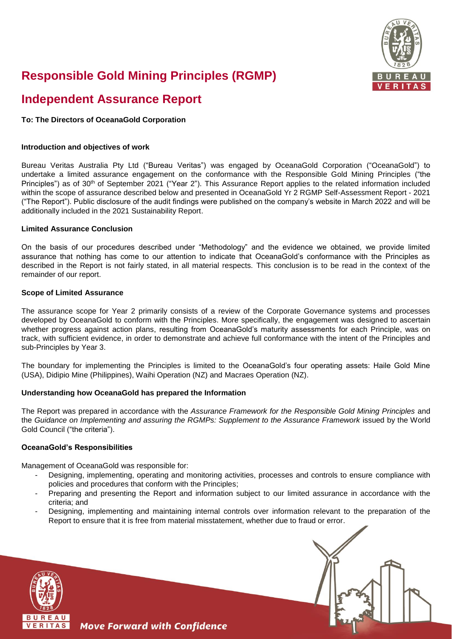

# **Responsible Gold Mining Principles (RGMP)**

# **Independent Assurance Report**

# **To: The Directors of OceanaGold Corporation**

#### **Introduction and objectives of work**

Bureau Veritas Australia Pty Ltd ("Bureau Veritas") was engaged by OceanaGold Corporation ("OceanaGold") to undertake a limited assurance engagement on the conformance with the Responsible Gold Mining Principles ("the Principles") as of 30<sup>th</sup> of September 2021 ("Year 2"). This Assurance Report applies to the related information included within the scope of assurance described below and presented in OceanaGold Yr 2 RGMP Self-Assessment Report - 2021 ("The Report"). Public disclosure of the audit findings were published on the company's website in March 2022 and will be additionally included in the 2021 Sustainability Report.

#### **Limited Assurance Conclusion**

On the basis of our procedures described under "Methodology" and the evidence we obtained, we provide limited assurance that nothing has come to our attention to indicate that OceanaGold's conformance with the Principles as described in the Report is not fairly stated, in all material respects. This conclusion is to be read in the context of the remainder of our report.

#### **Scope of Limited Assurance**

The assurance scope for Year 2 primarily consists of a review of the Corporate Governance systems and processes developed by OceanaGold to conform with the Principles. More specifically, the engagement was designed to ascertain whether progress against action plans, resulting from OceanaGold's maturity assessments for each Principle, was on track, with sufficient evidence, in order to demonstrate and achieve full conformance with the intent of the Principles and sub-Principles by Year 3.

The boundary for implementing the Principles is limited to the OceanaGold's four operating assets: Haile Gold Mine (USA), Didipio Mine (Philippines), Waihi Operation (NZ) and Macraes Operation (NZ).

# **Understanding how OceanaGold has prepared the Information**

**Move Forward with Confidence** 

The Report was prepared in accordance with the *Assurance Framework for the Responsible Gold Mining Principles* and the *Guidance on Implementing and assuring the RGMPs: Supplement to the Assurance Framework* issued by the World Gold Council ("the criteria").

# **OceanaGold's Responsibilities**

Management of OceanaGold was responsible for:

- Designing, implementing, operating and monitoring activities, processes and controls to ensure compliance with policies and procedures that conform with the Principles;
- Preparing and presenting the Report and information subject to our limited assurance in accordance with the criteria; and
- Designing, implementing and maintaining internal controls over information relevant to the preparation of the Report to ensure that it is free from material misstatement, whether due to fraud or error.



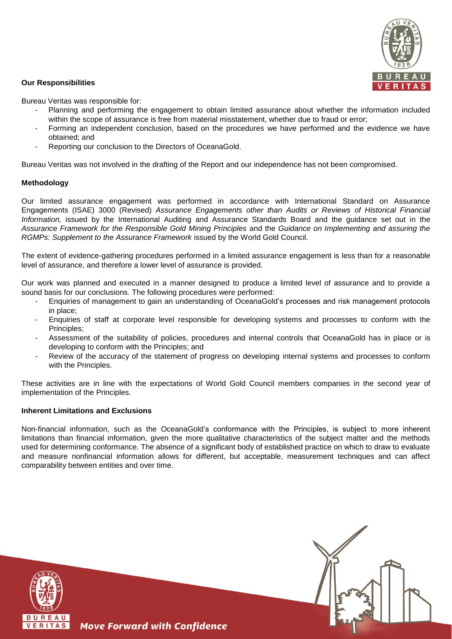

#### **Our Responsibilities**

Bureau Veritas was responsible for:

- Planning and performing the engagement to obtain limited assurance about whether the information included within the scope of assurance is free from material misstatement, whether due to fraud or error;
- Forming an independent conclusion, based on the procedures we have performed and the evidence we have obtained; and
- Reporting our conclusion to the Directors of OceanaGold.

Bureau Veritas was not involved in the drafting of the Report and our independence has not been compromised.

#### **Methodology**

Our limited assurance engagement was performed in accordance with International Standard on Assurance Engagements (ISAE) 3000 (Revised) *Assurance Engagements other than Audits or Reviews of Historical Financial Information,* issued by the International Auditing and Assurance Standards Board and the guidance set out in the *Assurance Framework for the Responsible Gold Mining Principles* and the *Guidance on Implementing and assuring the RGMPs: Supplement to the Assurance Framework* issued by the World Gold Council.

The extent of evidence-gathering procedures performed in a limited assurance engagement is less than for a reasonable level of assurance, and therefore a lower level of assurance is provided.

Our work was planned and executed in a manner designed to produce a limited level of assurance and to provide a sound basis for our conclusions. The following procedures were performed:

- Enquiries of management to gain an understanding of OceanaGold's processes and risk management protocols in place;
- Enquiries of staff at corporate level responsible for developing systems and processes to conform with the Principles;
- Assessment of the suitability of policies, procedures and internal controls that OceanaGold has in place or is developing to conform with the Principles; and
- Review of the accuracy of the statement of progress on developing internal systems and processes to conform with the Principles.

These activities are in line with the expectations of World Gold Council members companies in the second year of implementation of the Principles.

# **Inherent Limitations and Exclusions**

Non-financial information, such as the OceanaGold's conformance with the Principles, is subject to more inherent limitations than financial information, given the more qualitative characteristics of the subject matter and the methods used for determining conformance. The absence of a significant body of established practice on which to draw to evaluate and measure nonfinancial information allows for different, but acceptable, measurement techniques and can affect comparability between entities and over time.





**Move Forward with Confidence**